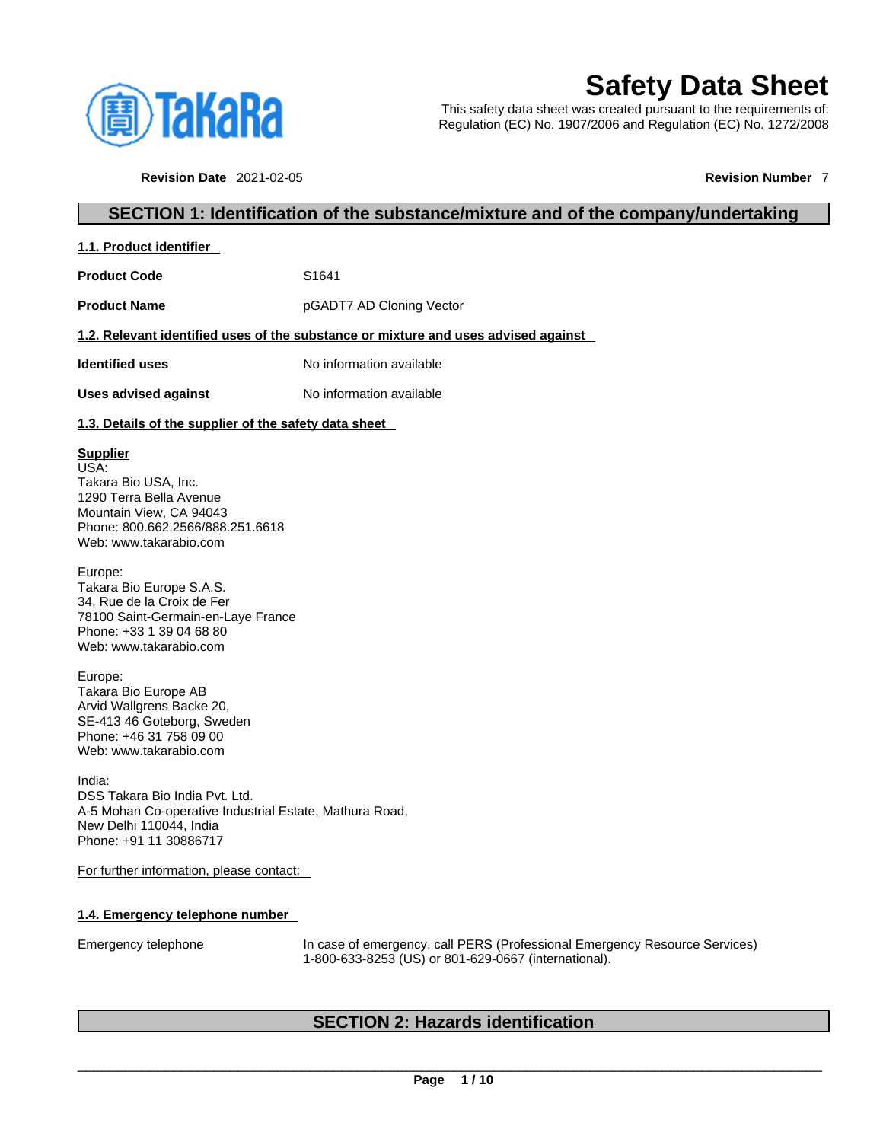

# **Safety Data Sheet**

This safety data sheet was created pursuant to the requirements of: Regulation (EC) No. 1907/2006 and Regulation (EC) No. 1272/2008

**Revision Date** 2021-02-05 **Revision Number** 7

# **SECTION 1: Identification of the substance/mixture and of the company/undertaking**

**1.1. Product identifier** 

**Product Code 51641** 

**Product Name pGADT7 AD Cloning Vector** 

#### **1.2. Relevant identified uses of the substance or mixture and uses advised against**

**Identified uses** No information available

**Uses advised against** No information available

#### **1.3. Details of the supplier of the safety data sheet**

### **Supplier**

USA: Takara Bio USA, Inc. 1290 Terra Bella Avenue Mountain View, CA 94043 Phone: 800.662.2566/888.251.6618 Web: www.takarabio.com

Europe: Takara Bio Europe S.A.S. 34, Rue de la Croix de Fer 78100 Saint-Germain-en-Laye France Phone: +33 1 39 04 68 80 Web: www.takarabio.com

Europe: Takara Bio Europe AB Arvid Wallgrens Backe 20, SE-413 46 Goteborg, Sweden Phone: +46 31 758 09 00 Web: www.takarabio.com

India: DSS Takara Bio India Pvt. Ltd. A-5 Mohan Co-operative Industrial Estate, Mathura Road, New Delhi 110044, India Phone: +91 11 30886717

For further information, please contact:

#### **1.4. Emergency telephone number**

Emergency telephone In case of emergency, call PERS (Professional Emergency Resource Services) 1-800-633-8253 (US) or 801-629-0667 (international).

# **SECTION 2: Hazards identification**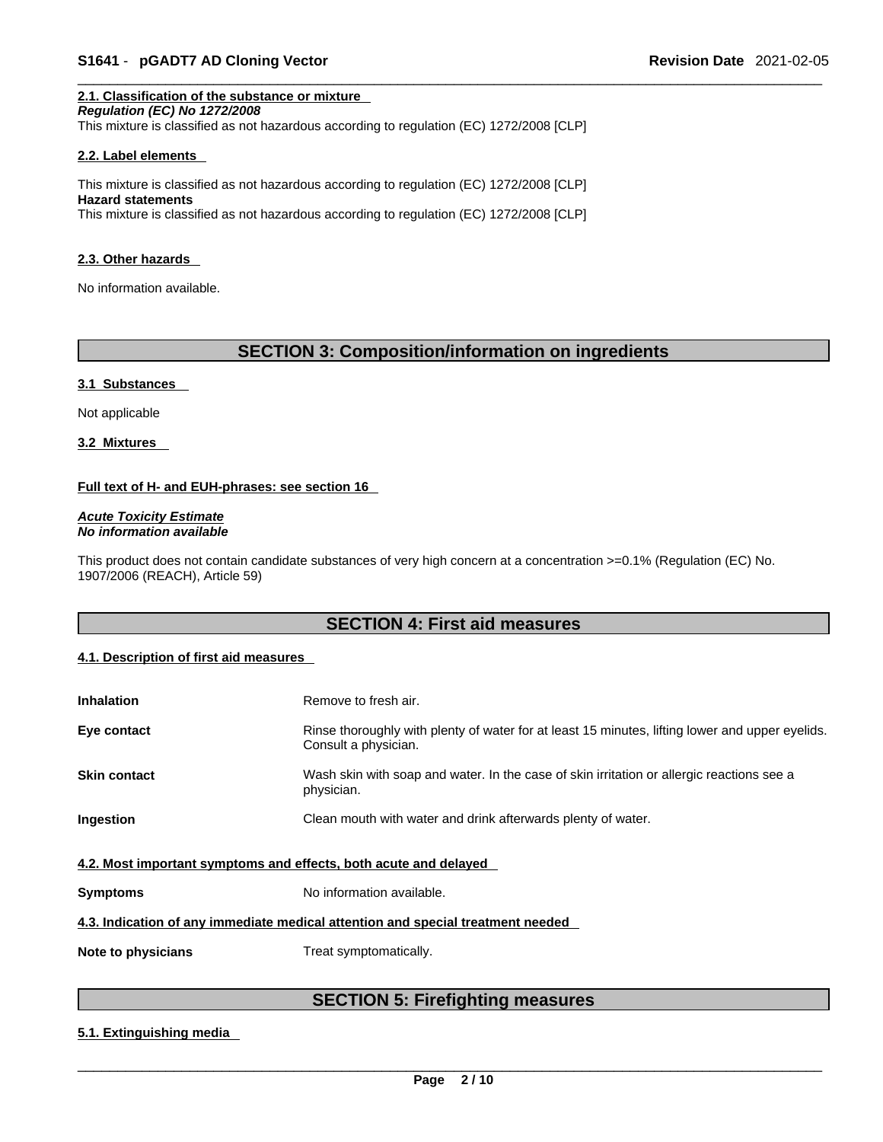## **2.1. Classification of the substance or mixture**

*Regulation (EC) No 1272/2008*  This mixture is classified as not hazardous according to regulation (EC) 1272/2008 [CLP]

#### **2.2. Label elements**

This mixture is classified as not hazardous according to regulation (EC) 1272/2008 [CLP] **Hazard statements** This mixture is classified as not hazardous according to regulation (EC) 1272/2008 [CLP]

#### **2.3. Other hazards**

No information available.

# **SECTION 3: Composition/information on ingredients**

#### **3.1 Substances**

Not applicable

**3.2 Mixtures** 

#### **Full text of H- and EUH-phrases: see section 16**

*Acute Toxicity Estimate No information available* 

This product does not contain candidate substances of very high concern at a concentration >=0.1% (Regulation (EC) No. 1907/2006 (REACH), Article 59)

# **SECTION 4: First aid measures**

#### **4.1. Description of first aid measures**

| <b>Inhalation</b>                                                               | Remove to fresh air.                                                                                                    |  |
|---------------------------------------------------------------------------------|-------------------------------------------------------------------------------------------------------------------------|--|
| Eye contact                                                                     | Rinse thoroughly with plenty of water for at least 15 minutes, lifting lower and upper eyelids.<br>Consult a physician. |  |
| <b>Skin contact</b>                                                             | Wash skin with soap and water. In the case of skin irritation or allergic reactions see a<br>physician.                 |  |
| Ingestion                                                                       | Clean mouth with water and drink afterwards plenty of water.                                                            |  |
| 4.2. Most important symptoms and effects, both acute and delayed                |                                                                                                                         |  |
| <b>Symptoms</b>                                                                 | No information available.                                                                                               |  |
| 4.3. Indication of any immediate medical attention and special treatment needed |                                                                                                                         |  |
| Note to physicians                                                              | Treat symptomatically.                                                                                                  |  |

# **SECTION 5: Firefighting measures**

#### **5.1. Extinguishing media**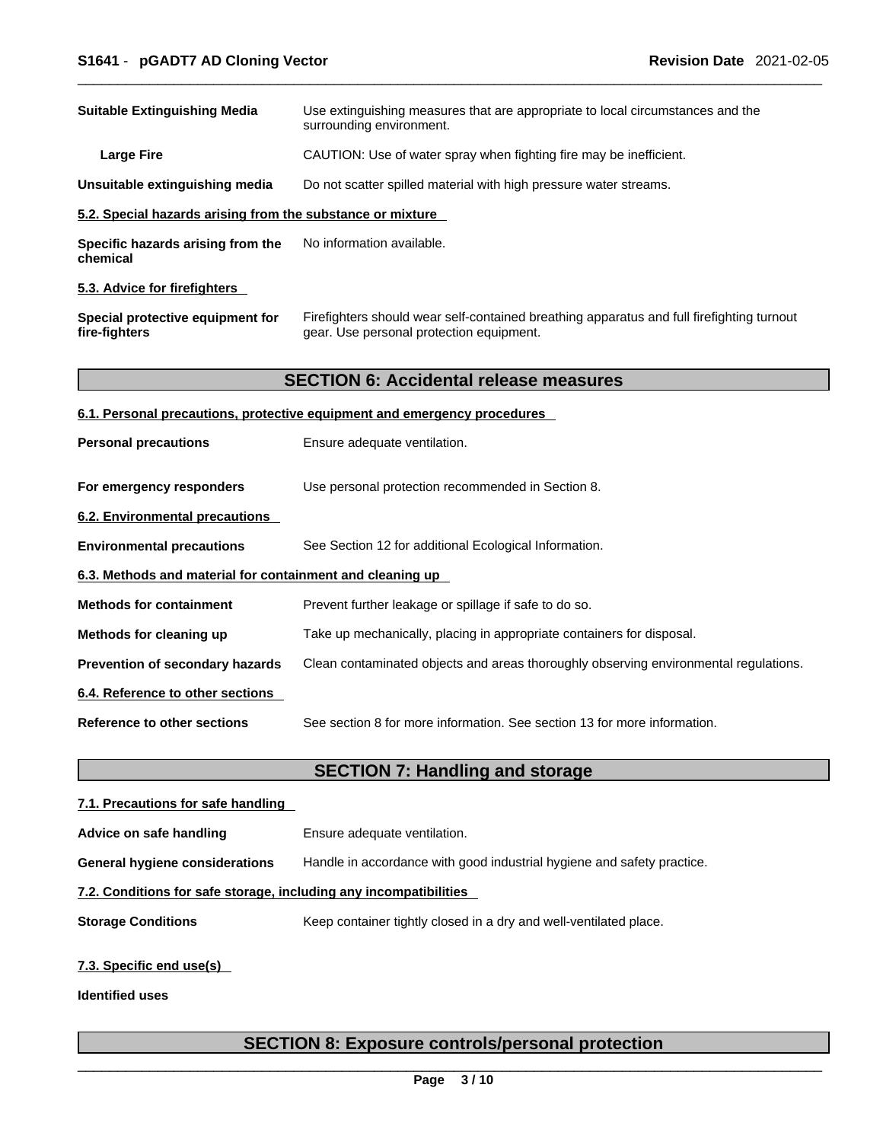| <b>Suitable Extinguishing Media</b>                        | Use extinguishing measures that are appropriate to local circumstances and the<br>surrounding environment.                            |
|------------------------------------------------------------|---------------------------------------------------------------------------------------------------------------------------------------|
| <b>Large Fire</b>                                          | CAUTION: Use of water spray when fighting fire may be inefficient.                                                                    |
| Unsuitable extinguishing media                             | Do not scatter spilled material with high pressure water streams.                                                                     |
| 5.2. Special hazards arising from the substance or mixture |                                                                                                                                       |
| Specific hazards arising from the<br>chemical              | No information available.                                                                                                             |
| 5.3. Advice for firefighters                               |                                                                                                                                       |
| Special protective equipment for<br>fire-fighters          | Firefighters should wear self-contained breathing apparatus and full firefighting turnout<br>gear. Use personal protection equipment. |
|                                                            | <b>SECTION 6: Accidental release measures</b>                                                                                         |
|                                                            | 6.1. Personal precautions, protective equipment and emergency procedures                                                              |
| <b>Personal precautions</b>                                | Ensure adequate ventilation.                                                                                                          |
| For emergency responders                                   | Use personal protection recommended in Section 8.                                                                                     |
| 6.2. Environmental precautions                             |                                                                                                                                       |
| <b>Environmental precautions</b>                           | See Section 12 for additional Ecological Information.                                                                                 |
| 6.3. Methods and material for containment and cleaning up  |                                                                                                                                       |
| <b>Methods for containment</b>                             | Prevent further leakage or spillage if safe to do so.                                                                                 |
| Methods for cleaning up                                    | Take up mechanically, placing in appropriate containers for disposal.                                                                 |
| Prevention of secondary hazards                            | Clean contaminated objects and areas thoroughly observing environmental regulations.                                                  |
| 6.4. Reference to other sections                           |                                                                                                                                       |
| Reference to other sections                                | See section 8 for more information. See section 13 for more information.                                                              |
|                                                            | <b>SECTION 7: Handling and storage</b>                                                                                                |
| 7.1. Precautions for safe handling                         |                                                                                                                                       |
| Advice on safe handling                                    | Ensure adequate ventilation.                                                                                                          |

**General hygiene considerations** Handle in accordance with good industrial hygiene and safety practice.

#### **7.2. Conditions for safe storage, including any incompatibilities**

**Storage Conditions** Keep container tightly closed in a dry and well-ventilated place.

#### **7.3. Specific end use(s)**

**Identified uses**

# **SECTION 8: Exposure controls/personal protection**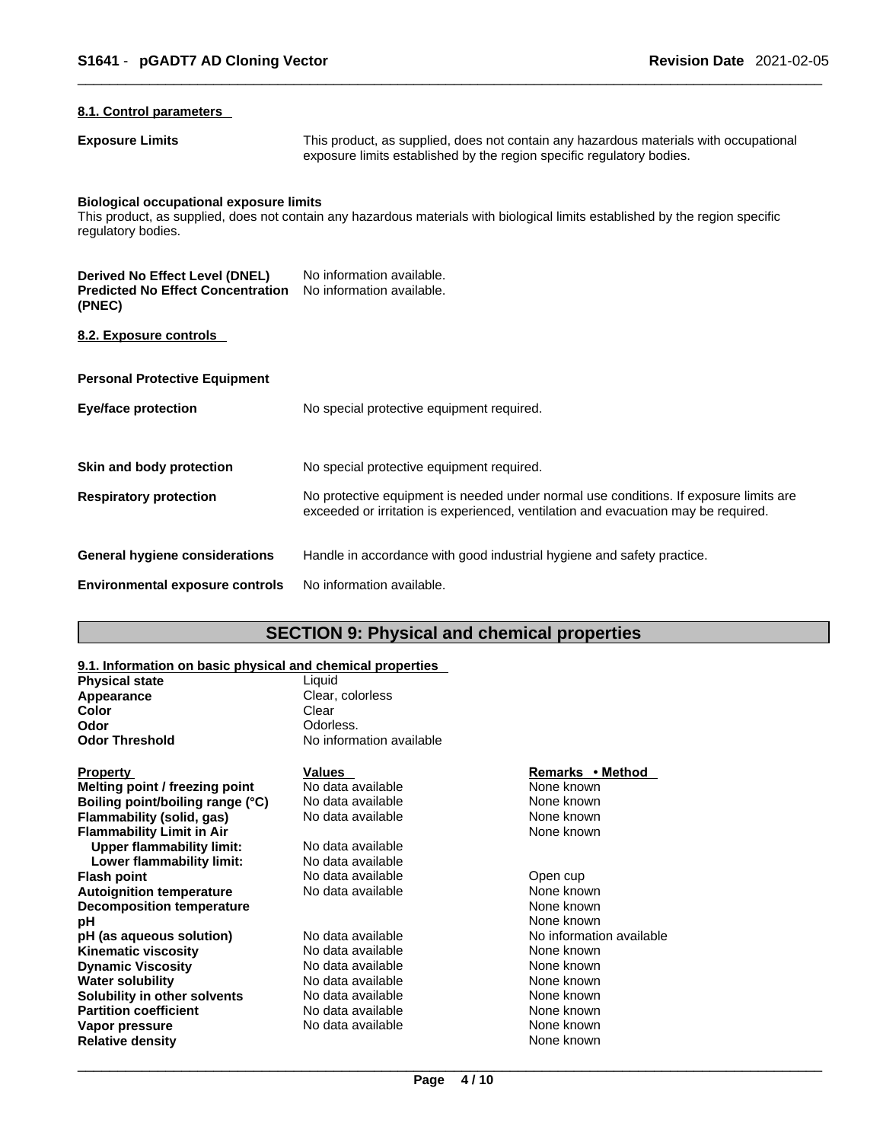#### **8.1. Control parameters**

**Exposure Limits** This product, as supplied, does not contain any hazardous materials with occupational exposure limits established by the region specific regulatory bodies.

# **Biological occupational exposure limits**

This product, as supplied, does not contain any hazardous materials with biological limits established by the region specific regulatory bodies.

| Derived No Effect Level (DNEL)<br><b>Predicted No Effect Concentration</b><br>(PNEC) | No information available.<br>No information available.                                                                                                                      |
|--------------------------------------------------------------------------------------|-----------------------------------------------------------------------------------------------------------------------------------------------------------------------------|
| 8.2. Exposure controls                                                               |                                                                                                                                                                             |
| <b>Personal Protective Equipment</b>                                                 |                                                                                                                                                                             |
| <b>Eye/face protection</b>                                                           | No special protective equipment required.                                                                                                                                   |
| Skin and body protection                                                             | No special protective equipment required.                                                                                                                                   |
| <b>Respiratory protection</b>                                                        | No protective equipment is needed under normal use conditions. If exposure limits are<br>exceeded or irritation is experienced, ventilation and evacuation may be required. |
| General hygiene considerations                                                       | Handle in accordance with good industrial hygiene and safety practice.                                                                                                      |
| <b>Environmental exposure controls</b>                                               | No information available.                                                                                                                                                   |

# **SECTION 9: Physical and chemical properties**

### **9.1. Information on basic physical and chemical properties**

| 3.1. MUUTMAHUTTUI DASIG PITYSIGAI AHU GHEIMGAI PIUPEI HES |                          |
|-----------------------------------------------------------|--------------------------|
| <b>Physical state</b>                                     | Liauid                   |
| Appearance                                                | Clear, colorless         |
| Color                                                     | Clear                    |
| Odor                                                      | Odorless.                |
| <b>Odor Threshold</b>                                     | No information available |
| <b>Property</b>                                           | <b>Values</b>            |

| Property                         | Values            | Remarks • Method         |
|----------------------------------|-------------------|--------------------------|
| Melting point / freezing point   | No data available | None known               |
| Boiling point/boiling range (°C) | No data available | None known               |
| Flammability (solid, gas)        | No data available | None known               |
| Flammability Limit in Air        |                   | None known               |
| Upper flammability limit:        | No data available |                          |
| Lower flammability limit:        | No data available |                          |
| Flash point                      | No data available | Open cup                 |
| <b>Autoignition temperature</b>  | No data available | None known               |
| <b>Decomposition temperature</b> |                   | None known               |
| pН                               |                   | None known               |
| pH (as aqueous solution)         | No data available | No information available |
| Kinematic viscosity              | No data available | None known               |
| Dynamic Viscosity                | No data available | None known               |
| Water solubility                 | No data available | None known               |
| Solubility in other solvents     | No data available | None known               |
| <b>Partition coefficient</b>     | No data available | None known               |
| Vapor pressure                   | No data available | None known               |
| <b>Relative density</b>          |                   | None known               |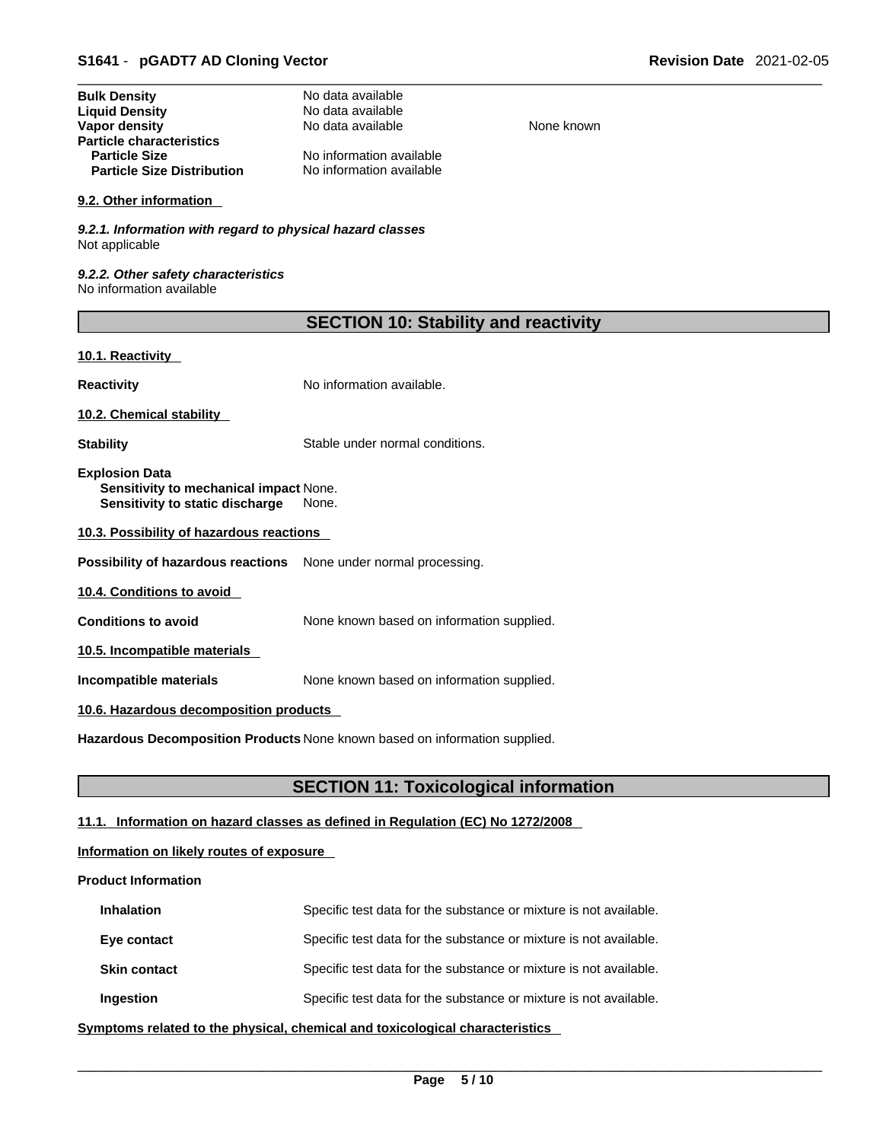| <b>Bulk Density</b>               | No data available        |
|-----------------------------------|--------------------------|
| <b>Liquid Density</b>             | No data available        |
| Vapor density                     | No data available        |
| <b>Particle characteristics</b>   |                          |
| <b>Particle Size</b>              | No information available |
| <b>Particle Size Distribution</b> | No information available |

#### **9.2. Other information**

*9.2.1. Information with regard to physical hazard classes* Not applicable

*9.2.2. Other safety characteristics* No information available

| <b>SECTION 10: Stability and reactivity</b> |  |  |
|---------------------------------------------|--|--|
|---------------------------------------------|--|--|

**None known** 

#### **10.1. Reactivity**

**Reactivity No information available.** 

**10.2. Chemical stability** 

**Stability** Stable under normal conditions.

**Explosion Data Sensitivity to mechanical impact** None. **Sensitivity to static discharge** None.

**10.3. Possibility of hazardous reactions**

**Possibility of hazardous reactions** None under normal processing.

**10.4. Conditions to avoid** 

**Conditions to avoid** None known based on information supplied.

**10.5. Incompatible materials**

**Incompatible materials** None known based on information supplied.

#### **10.6. Hazardous decomposition products**

**Hazardous Decomposition Products** None known based on information supplied.

# **SECTION 11: Toxicological information**

# **11.1. Information on hazard classes as defined in Regulation (EC) No 1272/2008**

# **Information on likely routes of exposure**

#### **Product Information**

| <b>Inhalation</b>   | Specific test data for the substance or mixture is not available. |
|---------------------|-------------------------------------------------------------------|
| Eye contact         | Specific test data for the substance or mixture is not available. |
| <b>Skin contact</b> | Specific test data for the substance or mixture is not available. |
| Ingestion           | Specific test data for the substance or mixture is not available. |

**<u>Symptoms related to the physical, chemical and toxicological characteristics</u>**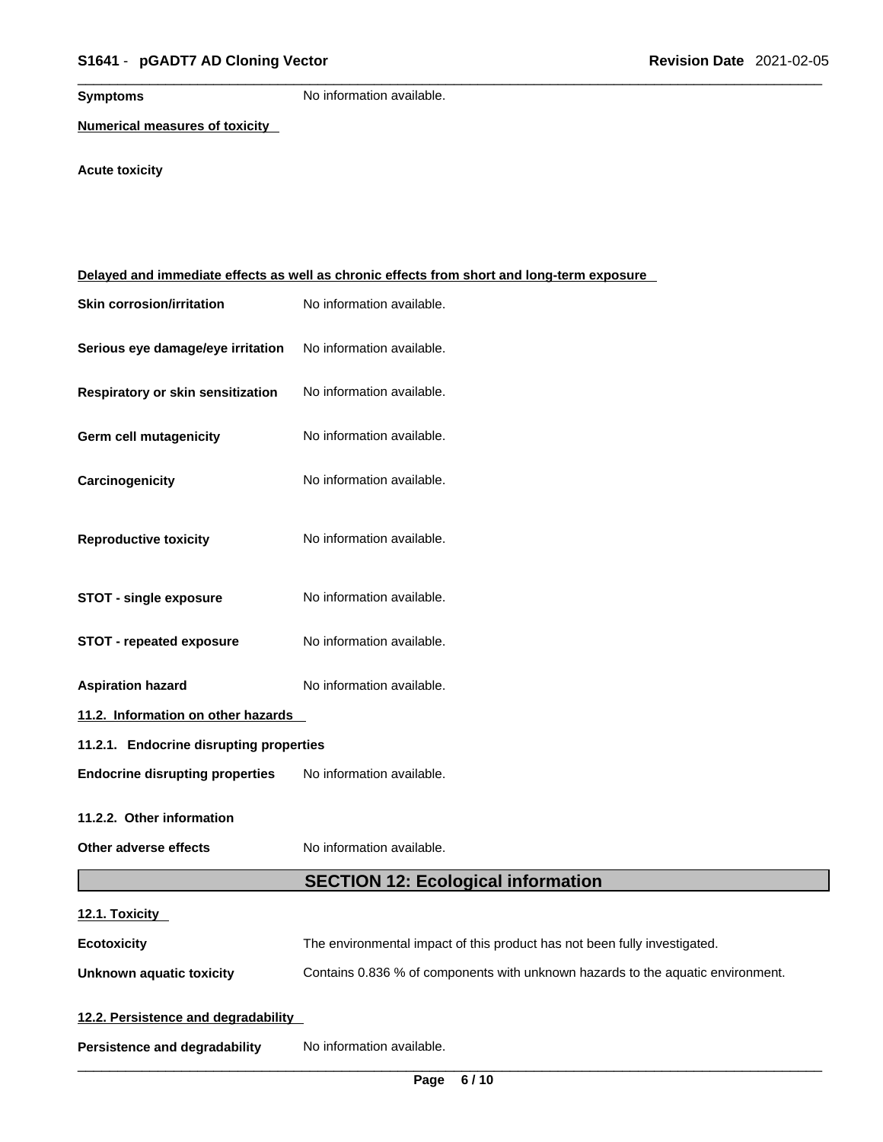**Symptoms** No information available.

**Numerical measures of toxicity**

# **Acute toxicity**

| Delayed and immediate effects as well as chronic effects from short and long-term exposure |                                                                                 |  |
|--------------------------------------------------------------------------------------------|---------------------------------------------------------------------------------|--|
| <b>Skin corrosion/irritation</b>                                                           | No information available.                                                       |  |
| Serious eye damage/eye irritation                                                          | No information available.                                                       |  |
| Respiratory or skin sensitization                                                          | No information available.                                                       |  |
| Germ cell mutagenicity                                                                     | No information available.                                                       |  |
| Carcinogenicity                                                                            | No information available.                                                       |  |
| <b>Reproductive toxicity</b>                                                               | No information available.                                                       |  |
| <b>STOT - single exposure</b>                                                              | No information available.                                                       |  |
| <b>STOT - repeated exposure</b>                                                            | No information available.                                                       |  |
| <b>Aspiration hazard</b>                                                                   | No information available.                                                       |  |
| 11.2. Information on other hazards                                                         |                                                                                 |  |
| 11.2.1. Endocrine disrupting properties                                                    |                                                                                 |  |
| <b>Endocrine disrupting properties</b>                                                     | No information available.                                                       |  |
| 11.2.2. Other information                                                                  |                                                                                 |  |
| Other adverse effects                                                                      | No information available.                                                       |  |
|                                                                                            | <b>SECTION 12: Ecological information</b>                                       |  |
| 12.1. Toxicity                                                                             |                                                                                 |  |
| <b>Ecotoxicity</b>                                                                         | The environmental impact of this product has not been fully investigated.       |  |
| <b>Unknown aquatic toxicity</b>                                                            | Contains 0.836 % of components with unknown hazards to the aquatic environment. |  |
| 12.2. Persistence and degradability                                                        |                                                                                 |  |
| <b>Persistence and degradability</b>                                                       | No information available.                                                       |  |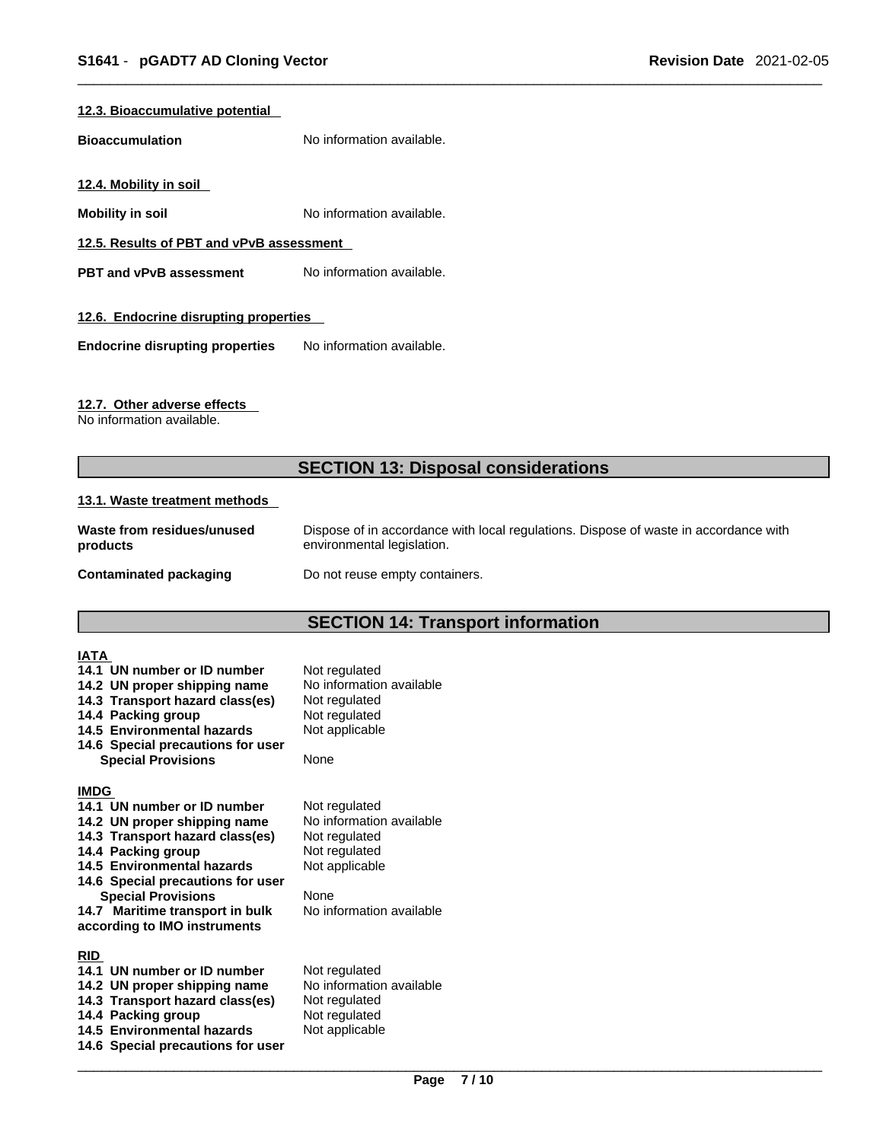#### **12.3. Bioaccumulative potential**

**Bioaccumulation** No information available.

**12.4. Mobility in soil** 

**Mobility in soil Mobility in soil No** information available.

**12.5. Results of PBT and vPvB assessment**

**PBT** and **vPvB** assessment No information available.

#### **12.6. Endocrine disrupting properties**

**Endocrine disrupting properties** No information available.

#### **12.7. Other adverse effects**

No information available.

# **SECTION 13: Disposal considerations**

#### **13.1. Waste treatment methods**

| Waste from residues/unused | Dispose of in accordance with local regulations. Dispose of waste in accordance with |
|----------------------------|--------------------------------------------------------------------------------------|
| products                   | environmental legislation.                                                           |
| Contaminated packaging     | Do not reuse empty containers.                                                       |

# **SECTION 14: Transport information**

| <b>IATA</b><br>14.1 UN number or ID number<br>14.2 UN proper shipping name<br>14.3 Transport hazard class(es)<br>14.4 Packing group<br>14.5 Environmental hazards<br>14.6 Special precautions for user<br><b>Special Provisions</b>                                                                    | Not regulated<br>No information available<br>Not regulated<br>Not regulated<br>Not applicable<br>None                             |
|--------------------------------------------------------------------------------------------------------------------------------------------------------------------------------------------------------------------------------------------------------------------------------------------------------|-----------------------------------------------------------------------------------------------------------------------------------|
| <b>IMDG</b><br>14.1 UN number or ID number<br>14.2 UN proper shipping name<br>14.3 Transport hazard class(es)<br>14.4 Packing group<br>14.5 Environmental hazards<br>14.6 Special precautions for user<br><b>Special Provisions</b><br>14.7 Maritime transport in bulk<br>according to IMO instruments | Not regulated<br>No information available<br>Not regulated<br>Not regulated<br>Not applicable<br>None<br>No information available |
| <b>RID</b><br>14.1 UN number or ID number<br>14.2 UN proper shipping name<br>14.3 Transport hazard class(es)<br>14.4 Packing group<br>14.5 Environmental hazards<br>14.6 Special precautions for user                                                                                                  | Not regulated<br>No information available<br>Not regulated<br>Not regulated<br>Not applicable                                     |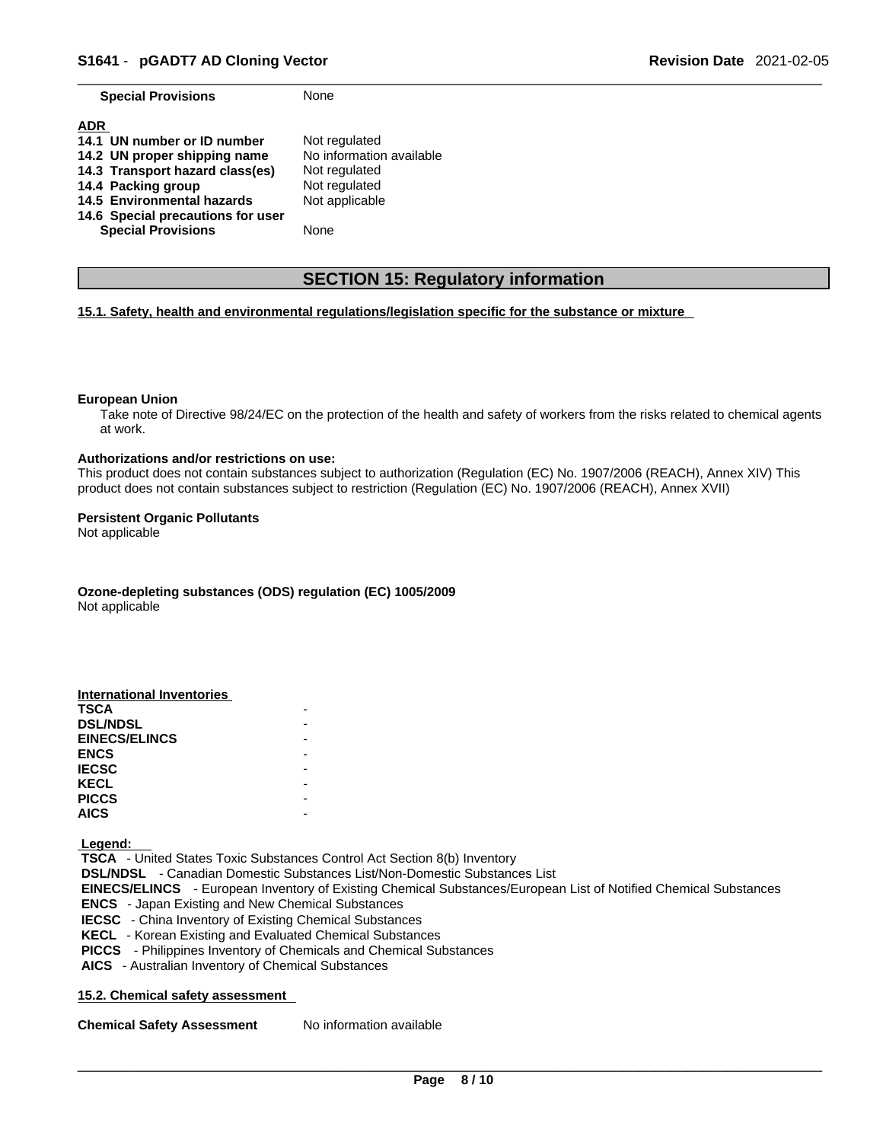**Special Provisions** None

| <b>ADR</b>                        |                          |
|-----------------------------------|--------------------------|
| 14.1 UN number or ID number       | Not regulated            |
| 14.2 UN proper shipping name      | No information available |
| 14.3 Transport hazard class(es)   | Not regulated            |
| 14.4 Packing group                | Not regulated            |
| 14.5 Environmental hazards        | Not applicable           |
| 14.6 Special precautions for user |                          |
| <b>Special Provisions</b>         | None                     |

# **SECTION 15: Regulatory information**

#### **15.1. Safety, health and environmental regulations/legislation specific for the substance or mixture**

#### **European Union**

Take note of Directive 98/24/EC on the protection of the health and safety of workers from the risks related to chemical agents at work.

#### **Authorizations and/or restrictions on use:**

This product does not contain substances subject to authorization (Regulation (EC) No. 1907/2006 (REACH), Annex XIV) This product does not contain substances subject to restriction (Regulation (EC) No. 1907/2006 (REACH), Annex XVII)

#### **Persistent Organic Pollutants**

Not applicable

**Ozone-depleting substances (ODS) regulation (EC) 1005/2009**

Not applicable

| <b>International Inventories</b> |  |
|----------------------------------|--|
| <b>TSCA</b>                      |  |
| <b>DSL/NDSL</b>                  |  |
| <b>EINECS/ELINCS</b>             |  |
| <b>ENCS</b>                      |  |
| <b>IECSC</b>                     |  |
| <b>KECL</b>                      |  |
| <b>PICCS</b>                     |  |
| <b>AICS</b>                      |  |

 **Legend:** 

 **TSCA** - United States Toxic Substances Control Act Section 8(b) Inventory  **DSL/NDSL** - Canadian Domestic Substances List/Non-Domestic Substances List  **EINECS/ELINCS** - European Inventory of Existing Chemical Substances/European List of Notified Chemical Substances  **ENCS** - Japan Existing and New Chemical Substances  **IECSC** - China Inventory of Existing Chemical Substances  **KECL** - Korean Existing and Evaluated Chemical Substances  **PICCS** - Philippines Inventory of Chemicals and Chemical Substances  **AICS** - Australian Inventory of Chemical Substances

#### **15.2. Chemical safety assessment**

**Chemical Safety Assessment** No information available

 $\_$  ,  $\_$  ,  $\_$  ,  $\_$  ,  $\_$  ,  $\_$  ,  $\_$  ,  $\_$  ,  $\_$  ,  $\_$  ,  $\_$  ,  $\_$  ,  $\_$  ,  $\_$  ,  $\_$  ,  $\_$  ,  $\_$  ,  $\_$  ,  $\_$  ,  $\_$  ,  $\_$  ,  $\_$  ,  $\_$  ,  $\_$  ,  $\_$  ,  $\_$  ,  $\_$  ,  $\_$  ,  $\_$  ,  $\_$  ,  $\_$  ,  $\_$  ,  $\_$  ,  $\_$  ,  $\_$  ,  $\_$  ,  $\_$  , **Page 8 / 10**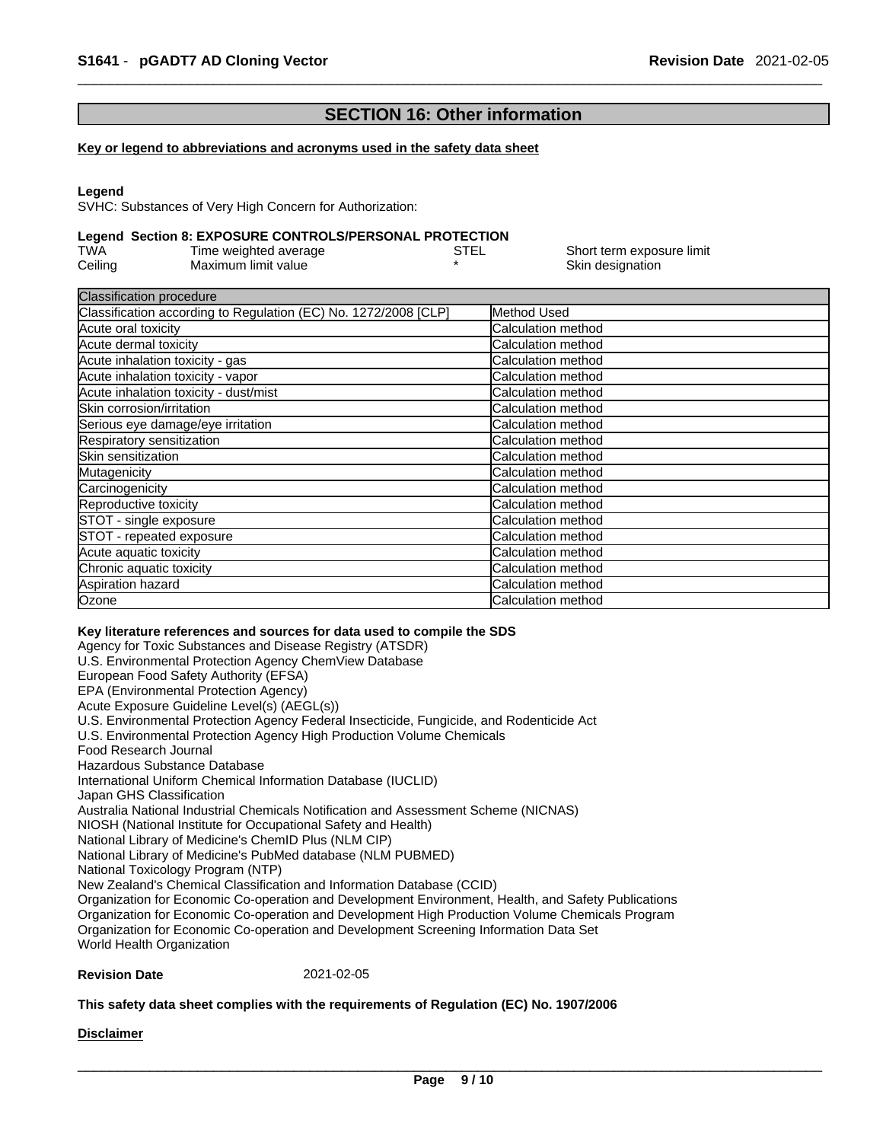# **SECTION 16: Other information**

#### **Key or legend to abbreviations and acronyms used in the safety data sheet**

#### **Legend**

SVHC: Substances of Very High Concern for Authorization:

#### **Legend Section 8: EXPOSURE CONTROLS/PERSONAL PROTECTION**

| TWA     | Time weighted average | STEL | Short term exposure limit |
|---------|-----------------------|------|---------------------------|
| Ceiling | Maximum limit value   |      | Skin designation          |

| Method Used                |
|----------------------------|
| Calculation method         |
| <b>Calculation method</b>  |
| <b>Calculation method</b>  |
| <b>Calculation method</b>  |
| <b>Calculation method</b>  |
| <b>ICalculation method</b> |
| <b>Calculation method</b>  |
| Calculation method         |
| Calculation method         |
| Calculation method         |
| <b>Calculation method</b>  |
| <b>Calculation method</b>  |
| Calculation method         |
| Calculation method         |
| <b>Calculation method</b>  |
| <b>Calculation method</b>  |
| <b>ICalculation method</b> |
| <b>Calculation method</b>  |
|                            |

#### **Key literature references and sources for data used to compile the SDS**

Agency for Toxic Substances and Disease Registry (ATSDR) U.S. Environmental Protection Agency ChemView Database European Food Safety Authority (EFSA) EPA (Environmental Protection Agency) Acute Exposure Guideline Level(s) (AEGL(s)) U.S. Environmental Protection Agency Federal Insecticide, Fungicide, and Rodenticide Act U.S. Environmental Protection Agency High Production Volume Chemicals Food Research Journal Hazardous Substance Database International Uniform Chemical Information Database (IUCLID) Japan GHS Classification Australia National Industrial Chemicals Notification and Assessment Scheme (NICNAS) NIOSH (National Institute for Occupational Safety and Health) National Library of Medicine's ChemID Plus (NLM CIP) National Library of Medicine's PubMed database (NLM PUBMED) National Toxicology Program (NTP) New Zealand's Chemical Classification and Information Database (CCID) Organization for Economic Co-operation and Development Environment, Health, and Safety Publications Organization for Economic Co-operation and Development High Production Volume Chemicals Program Organization for Economic Co-operation and Development Screening Information Data Set World Health Organization

#### **Revision Date** 2021-02-05

#### **This safety data sheet complies with the requirements of Regulation (EC) No. 1907/2006**

#### **Disclaimer**